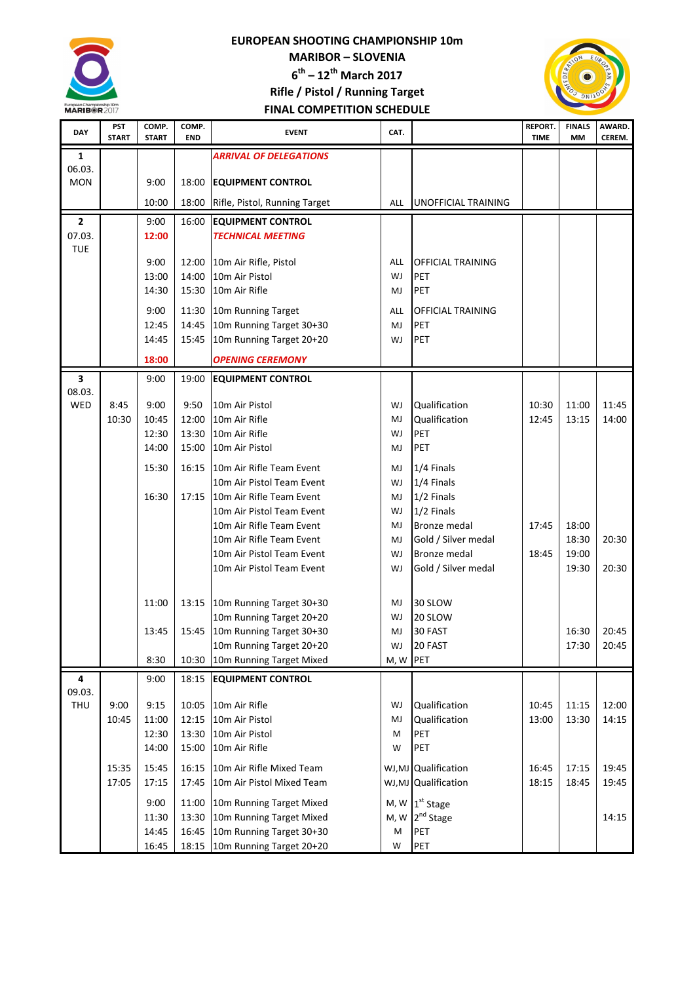

## EUROPEAN SHOOTING CHAMPIONSHIP 10m MARIBOR – SLOVENIA  $6^{\text{th}}$  – 12<sup>th</sup> March 2017 Rifle / Pistol / Running Target FINAL COMPETITION SCHEDULE



| <b>DAY</b>     | <b>PST</b><br><b>START</b> | COMP.<br><b>START</b> | COMP.<br><b>END</b> | <b>EVENT</b>                                         | CAT.     |                                 | <b>REPORT.</b><br><b>TIME</b> | <b>FINALS</b><br>MM | AWARD.<br>CEREM. |
|----------------|----------------------------|-----------------------|---------------------|------------------------------------------------------|----------|---------------------------------|-------------------------------|---------------------|------------------|
| 1              |                            |                       |                     | <b>ARRIVAL OF DELEGATIONS</b>                        |          |                                 |                               |                     |                  |
| 06.03.         |                            |                       |                     |                                                      |          |                                 |                               |                     |                  |
| <b>MON</b>     |                            | 9:00                  | 18:00               | <b>EQUIPMENT CONTROL</b>                             |          |                                 |                               |                     |                  |
|                |                            | 10:00                 | 18:00               | Rifle, Pistol, Running Target                        | ALL      | UNOFFICIAL TRAINING             |                               |                     |                  |
| $\overline{2}$ |                            | 9:00                  | 16:00               | <b>EQUIPMENT CONTROL</b>                             |          |                                 |                               |                     |                  |
| 07.03.         |                            | 12:00                 |                     | <b>TECHNICAL MEETING</b>                             |          |                                 |                               |                     |                  |
| <b>TUE</b>     |                            | 9:00                  | 12:00               | 10m Air Rifle, Pistol                                | ALL      | <b>OFFICIAL TRAINING</b>        |                               |                     |                  |
|                |                            | 13:00                 | 14:00               | 10m Air Pistol                                       | WJ       | <b>PET</b>                      |                               |                     |                  |
|                |                            | 14:30                 | 15:30               | 10m Air Rifle                                        | MJ       | PET                             |                               |                     |                  |
|                |                            |                       |                     |                                                      |          |                                 |                               |                     |                  |
|                |                            | 9:00                  | 11:30               | 10m Running Target                                   | ALL      | <b>OFFICIAL TRAINING</b><br>PET |                               |                     |                  |
|                |                            | 12:45<br>14:45        | 14:45<br>15:45      | 10m Running Target 30+30<br>10m Running Target 20+20 | MJ<br>WJ | PET                             |                               |                     |                  |
|                |                            |                       |                     |                                                      |          |                                 |                               |                     |                  |
|                |                            | 18:00                 |                     | <b>OPENING CEREMONY</b>                              |          |                                 |                               |                     |                  |
| 3<br>08.03.    |                            | 9:00                  | 19:00               | <b>EQUIPMENT CONTROL</b>                             |          |                                 |                               |                     |                  |
| WED            | 8:45                       | 9:00                  | 9:50                | 10m Air Pistol                                       | WJ       | Qualification                   | 10:30                         | 11:00               | 11:45            |
|                | 10:30                      | 10:45                 | 12:00               | 10m Air Rifle                                        | MJ       | Qualification                   | 12:45                         | 13:15               | 14:00            |
|                |                            | 12:30                 | 13:30               | 10m Air Rifle                                        | WJ       | PET                             |                               |                     |                  |
|                |                            | 14:00                 | 15:00               | 10m Air Pistol                                       | MJ       | PET                             |                               |                     |                  |
|                |                            | 15:30                 | 16:15               | 10m Air Rifle Team Event                             | MJ       | 1/4 Finals                      |                               |                     |                  |
|                |                            |                       |                     | 10m Air Pistol Team Event                            | WJ       | 1/4 Finals                      |                               |                     |                  |
|                |                            | 16:30                 | 17:15               | 10m Air Rifle Team Event                             | MJ       | 1/2 Finals                      |                               |                     |                  |
|                |                            |                       |                     | 10m Air Pistol Team Event                            | WJ       | 1/2 Finals                      |                               |                     |                  |
|                |                            |                       |                     | 10m Air Rifle Team Event                             | MJ       | <b>Bronze medal</b>             | 17:45                         | 18:00               |                  |
|                |                            |                       |                     | 10m Air Rifle Team Event                             | MJ       | Gold / Silver medal             |                               | 18:30               | 20:30            |
|                |                            |                       |                     | 10m Air Pistol Team Event                            | WJ       | <b>Bronze medal</b>             | 18:45                         | 19:00               |                  |
|                |                            |                       |                     | 10m Air Pistol Team Event                            | WJ       | Gold / Silver medal             |                               | 19:30               | 20:30            |
|                |                            |                       |                     |                                                      |          |                                 |                               |                     |                  |
|                |                            | 11:00                 | 13:15               | 10m Running Target 30+30<br>10m Running Target 20+20 | MJ<br>WJ | 30 SLOW<br>20 SLOW              |                               |                     |                  |
|                |                            | 13:45                 |                     | 15:45 10m Running Target 30+30                       | MJ       | 30 FAST                         |                               | 16:30               | 20:45            |
|                |                            |                       |                     | 10m Running Target 20+20                             | WJ       | 20 FAST                         |                               | 17:30               | 20:45            |
|                |                            | 8:30                  | 10:30               | 10m Running Target Mixed                             | M, W     | PET                             |                               |                     |                  |
| 4              |                            | 9:00                  | 18:15               | <b>EQUIPMENT CONTROL</b>                             |          |                                 |                               |                     |                  |
| 09.03.         |                            |                       |                     |                                                      |          |                                 |                               |                     |                  |
| THU            | 9:00                       | 9:15                  | 10:05               | 10m Air Rifle                                        | WJ       | Qualification                   | 10:45                         | 11:15               | 12:00            |
|                | 10:45                      | 11:00                 | 12:15               | 10m Air Pistol                                       | MJ       | Qualification                   | 13:00                         | 13:30               | 14:15            |
|                |                            | 12:30                 | 13:30               | 10m Air Pistol                                       | M        | PET                             |                               |                     |                  |
|                |                            | 14:00                 | 15:00               | 10m Air Rifle                                        | W        | PET                             |                               |                     |                  |
|                | 15:35                      | 15:45                 | 16:15               | 10m Air Rifle Mixed Team                             |          | WJ,MJ Qualification             | 16:45                         | 17:15               | 19:45            |
|                | 17:05                      | 17:15                 | 17:45               | 10m Air Pistol Mixed Team                            |          | WJ,MJ Qualification             | 18:15                         | 18:45               | 19:45            |
|                |                            | 9:00                  | 11:00               | 10m Running Target Mixed                             |          | M, $W \mid 1^{st}$ Stage        |                               |                     |                  |
|                |                            | 11:30                 | 13:30               | 10m Running Target Mixed                             |          | M, W 2 <sup>nd</sup> Stage      |                               |                     | 14:15            |
|                |                            | 14:45                 | 16:45               | 10m Running Target 30+30                             | M        | PET                             |                               |                     |                  |
|                |                            | 16:45                 |                     | 18:15 10m Running Target 20+20                       | W        | PET                             |                               |                     |                  |